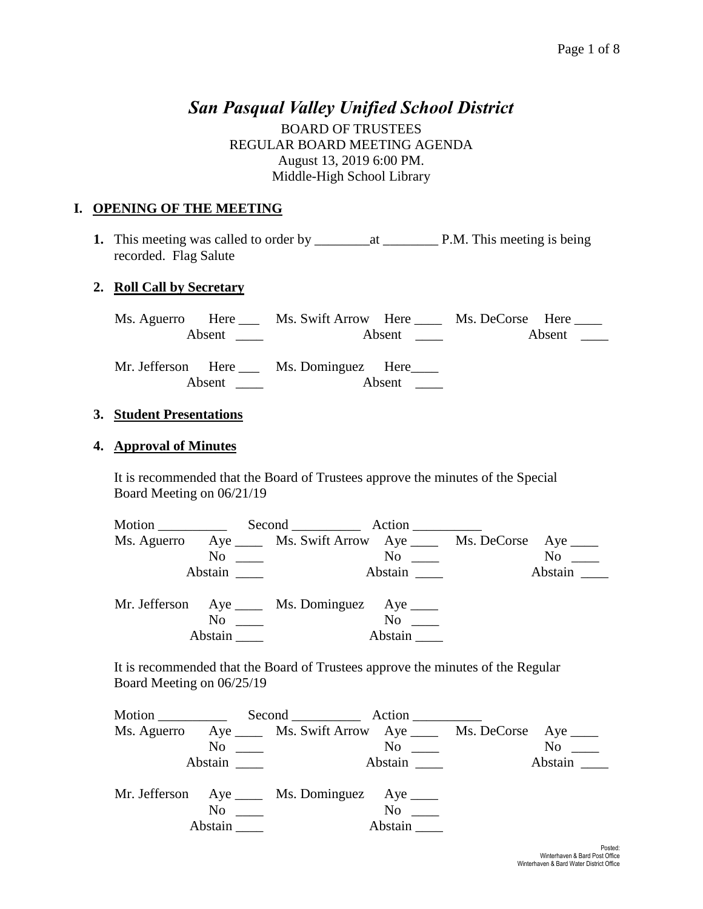# *San Pasqual Valley Unified School District*

BOARD OF TRUSTEES REGULAR BOARD MEETING AGENDA August 13, 2019 6:00 PM. Middle-High School Library

#### **I. OPENING OF THE MEETING**

**1.** This meeting was called to order by \_\_\_\_\_\_\_\_at \_\_\_\_\_\_\_\_ P.M. This meeting is being recorded. Flag Salute

#### **2. Roll Call by Secretary**

Ms. Aguerro Here \_\_\_ Ms. Swift Arrow Here \_\_\_\_ Ms. DeCorse Here \_\_\_\_ Absent \_\_\_\_ Absent \_\_\_ Absent \_\_\_\_ Absent \_\_\_

Mr. Jefferson Here \_\_\_ Ms. Dominguez Here\_\_\_\_ Absent \_\_\_\_ Absent \_\_\_

#### **3. Student Presentations**

#### **4. Approval of Minutes**

It is recommended that the Board of Trustees approve the minutes of the Special Board Meeting on 06/21/19

| Motion ____________ |                                                 |                                                                         |
|---------------------|-------------------------------------------------|-------------------------------------------------------------------------|
|                     |                                                 | Ms. Aguerro Aye ______ Ms. Swift Arrow Aye ______ Ms. DeCorse Aye _____ |
|                     | $\overline{\text{No}}$ $\overline{\phantom{0}}$ | $No \ \_$<br>$\overline{N}$ $\overline{N}$                              |
| Abstain             |                                                 | Abstain<br>Abstain                                                      |
|                     |                                                 |                                                                         |
|                     | Mr. Jefferson Aye ____ Ms. Dominguez Aye ____   |                                                                         |
|                     | $\rm No$                                        | No no                                                                   |
| Abstain             |                                                 | Abstain                                                                 |

It is recommended that the Board of Trustees approve the minutes of the Regular Board Meeting on 06/25/19

| Motion $\_\_$ |         | Second Action                                                                                |                      |                                                                      |         |
|---------------|---------|----------------------------------------------------------------------------------------------|----------------------|----------------------------------------------------------------------|---------|
|               |         |                                                                                              |                      | Ms. Aguerro Aye _____ Ms. Swift Arrow Aye _____ Ms. DeCorse Aye ____ |         |
|               |         | $\overline{N}$ o $\overline{\phantom{0}}$                                                    | $\mathrm{No}$ $\_\_$ |                                                                      | No      |
|               | Abstain |                                                                                              | Abstain              |                                                                      | Abstain |
|               | Abstain | Mr. Jefferson Aye _____ Ms. Dominguez Aye _____<br>$\overline{N}$ o $\overline{\phantom{0}}$ | $No \ \_$<br>Abstain |                                                                      |         |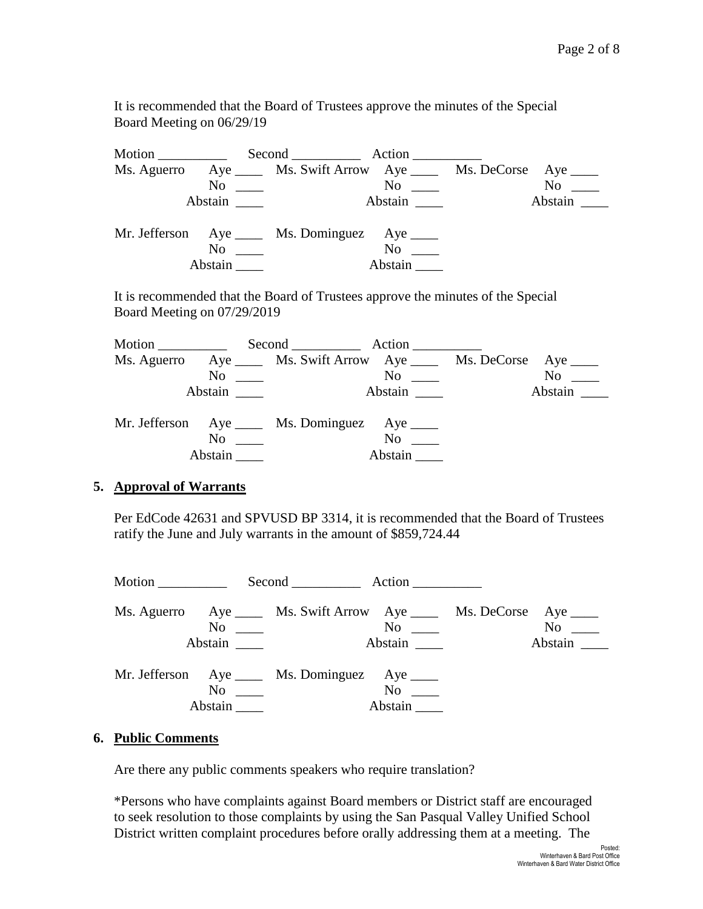It is recommended that the Board of Trustees approve the minutes of the Special Board Meeting on 06/29/19

|         | Second Action                                                           |                                                                                                                                                                                                                                |                     |
|---------|-------------------------------------------------------------------------|--------------------------------------------------------------------------------------------------------------------------------------------------------------------------------------------------------------------------------|---------------------|
|         | Ms. Aguerro Aye ______ Ms. Swift Arrow Aye ______ Ms. DeCorse Aye _____ |                                                                                                                                                                                                                                |                     |
|         | $\overline{\text{No}}$ $\overline{\phantom{0}}$                         | $\overline{N}$ o $\overline{\phantom{0}}$                                                                                                                                                                                      | $No \_\_$           |
| Abstain |                                                                         | Abstain here are the set of the set of the set of the set of the set of the set of the set of the set of the set of the set of the set of the set of the set of the set of the set of the set of the set of the set of the set | Abstain $\_\_\_\_\$ |
|         | Mr. Jefferson Aye _____ Ms. Dominguez Aye _____<br>$\rm No$             | No no                                                                                                                                                                                                                          |                     |
| Abstain |                                                                         | Abstain                                                                                                                                                                                                                        |                     |

It is recommended that the Board of Trustees approve the minutes of the Special Board Meeting on 07/29/2019

| Motion $\_\_$                                                        | Second Action                           |                                             |           |
|----------------------------------------------------------------------|-----------------------------------------|---------------------------------------------|-----------|
| Ms. Aguerro Aye _____ Ms. Swift Arrow Aye _____ Ms. DeCorse Aye ____ |                                         |                                             |           |
|                                                                      | $\overline{N}$ $\overline{\phantom{a}}$ | $\overline{N}$ o $\overline{\phantom{nnn}}$ | $No \ \_$ |
| Abstain                                                              |                                         | Abstain                                     | Abstain   |
|                                                                      |                                         |                                             |           |
| Mr. Jefferson Aye _____ Ms. Dominguez Aye _____                      |                                         |                                             |           |
|                                                                      | $No \ \_$                               | $No \ \_$                                   |           |
| Abstain                                                              |                                         | Abstain                                     |           |

#### **5. Approval of Warrants**

Per EdCode 42631 and SPVUSD BP 3314, it is recommended that the Board of Trustees ratify the June and July warrants in the amount of \$859,724.44

|                             | Second Action                                                                                                   |                                                     |                                                                                                                                                                                                                                          |
|-----------------------------|-----------------------------------------------------------------------------------------------------------------|-----------------------------------------------------|------------------------------------------------------------------------------------------------------------------------------------------------------------------------------------------------------------------------------------------|
|                             | Ms. Aguerro Aye _____ Ms. Swift Arrow Aye _____ Ms. DeCorse Aye ____<br>$\overline{N}$ $\overline{\phantom{a}}$ | $\overline{N}$ $\overline{\phantom{nn}}$<br>Abstain | No note that the set of the set of the set of the set of the set of the set of the set of the set of the set of the set of the set of the set of the set of the set of the set of the set of the set of the set of the set of<br>Abstain |
| $\overline{N_0}$<br>Abstain | Mr. Jefferson Aye _____ Ms. Dominguez Aye _____                                                                 | $No \ \_$<br>Abstain                                |                                                                                                                                                                                                                                          |

#### **6. Public Comments**

Are there any public comments speakers who require translation?

\*Persons who have complaints against Board members or District staff are encouraged to seek resolution to those complaints by using the San Pasqual Valley Unified School District written complaint procedures before orally addressing them at a meeting. The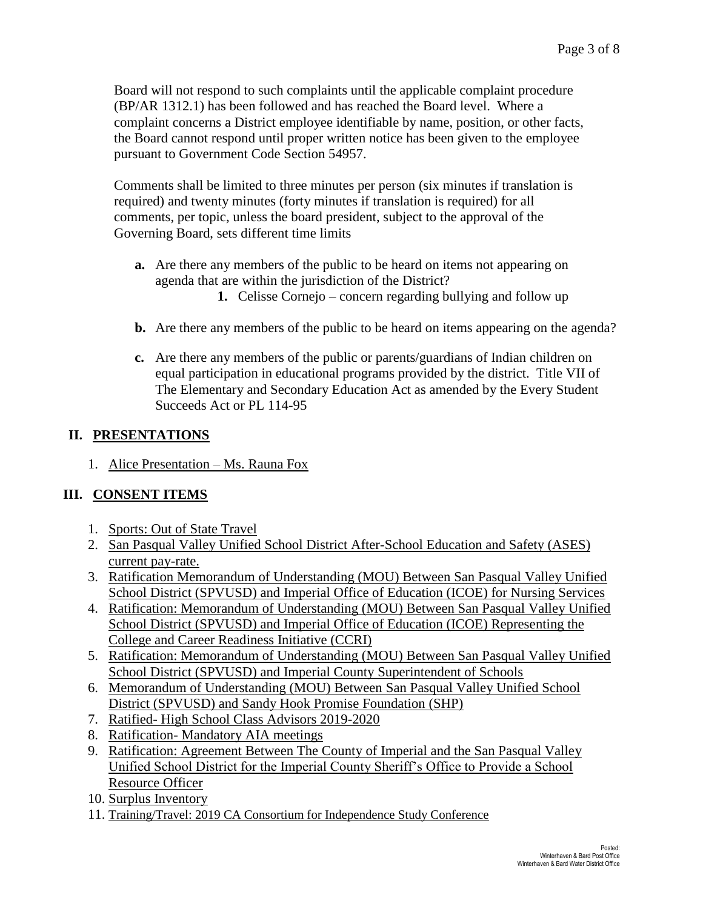Board will not respond to such complaints until the applicable complaint procedure (BP/AR 1312.1) has been followed and has reached the Board level. Where a complaint concerns a District employee identifiable by name, position, or other facts, the Board cannot respond until proper written notice has been given to the employee pursuant to Government Code Section 54957.

Comments shall be limited to three minutes per person (six minutes if translation is required) and twenty minutes (forty minutes if translation is required) for all comments, per topic, unless the board president, subject to the approval of the Governing Board, sets different time limits

- **a.** Are there any members of the public to be heard on items not appearing on agenda that are within the jurisdiction of the District?
	- **1.** Celisse Cornejo concern regarding bullying and follow up
- **b.** Are there any members of the public to be heard on items appearing on the agenda?
- **c.** Are there any members of the public or parents/guardians of Indian children on equal participation in educational programs provided by the district. Title VII of The Elementary and Secondary Education Act as amended by the Every Student Succeeds Act or PL 114-95

#### **II. PRESENTATIONS**

1. Alice Presentation – Ms. Rauna Fox

### **III. CONSENT ITEMS**

- 1. Sports: Out of State Travel
- 2. San Pasqual Valley Unified School District After-School Education and Safety (ASES) current pay-rate.
- 3. Ratification Memorandum of Understanding (MOU) Between San Pasqual Valley Unified School District (SPVUSD) and Imperial Office of Education (ICOE) for Nursing Services
- 4. Ratification: Memorandum of Understanding (MOU) Between San Pasqual Valley Unified School District (SPVUSD) and Imperial Office of Education (ICOE) Representing the College and Career Readiness Initiative (CCRI)
- 5. Ratification: Memorandum of Understanding (MOU) Between San Pasqual Valley Unified School District (SPVUSD) and Imperial County Superintendent of Schools
- 6. Memorandum of Understanding (MOU) Between San Pasqual Valley Unified School District (SPVUSD) and Sandy Hook Promise Foundation (SHP)
- 7. Ratified- High School Class Advisors 2019-2020
- 8. Ratification- Mandatory AIA meetings
- 9. Ratification: Agreement Between The County of Imperial and the San Pasqual Valley Unified School District for the Imperial County Sheriff's Office to Provide a School Resource Officer
- 10. Surplus Inventory
- 11. Training/Travel: 2019 CA Consortium for Independence Study Conference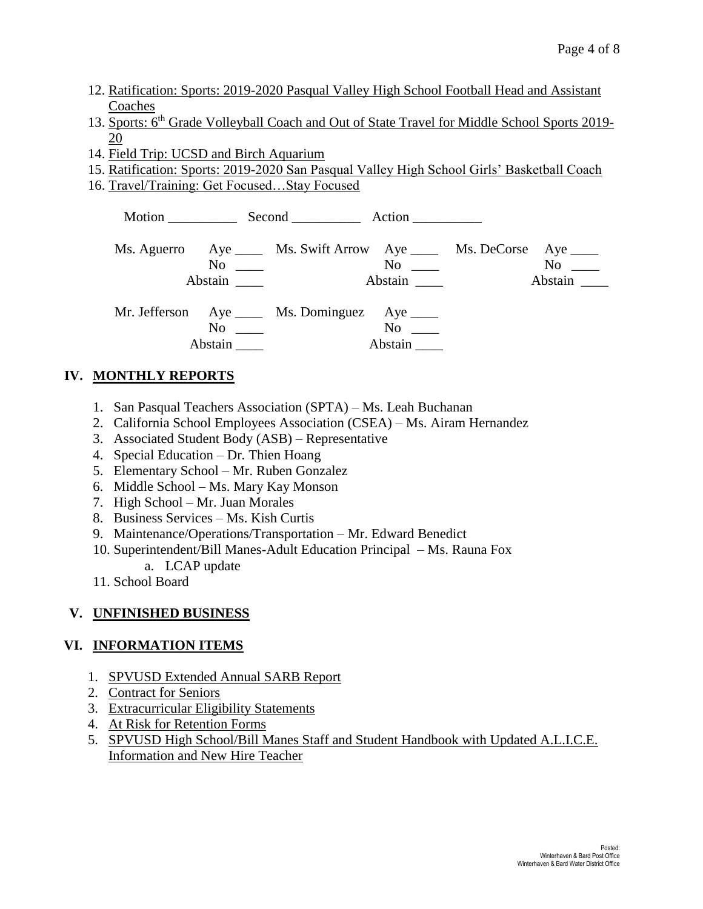- 12. Ratification: Sports: 2019-2020 Pasqual Valley High School Football Head and Assistant Coaches
- 13. Sports: 6<sup>th</sup> Grade Volleyball Coach and Out of State Travel for Middle School Sports 2019-20
- 14. Field Trip: UCSD and Birch Aquarium
- 15. Ratification: Sports: 2019-2020 San Pasqual Valley High School Girls' Basketball Coach
- 16. Travel/Training: Get Focused…Stay Focused

|                                                                                                                                                                                                                                          | Motion Second Action                                                                                  |               |                                             |                      |
|------------------------------------------------------------------------------------------------------------------------------------------------------------------------------------------------------------------------------------------|-------------------------------------------------------------------------------------------------------|---------------|---------------------------------------------|----------------------|
| Abstain                                                                                                                                                                                                                                  | Ms. Aguerro Aye _____ Ms. Swift Arrow Aye _____ Ms. DeCorse Aye ____<br>$\overline{N}$ $\overline{N}$ | Abstain       | $\overline{N}$ o $\overline{\phantom{nnn}}$ | $No \ \_$<br>Abstain |
| No new contract the set of the set of the set of the set of the set of the set of the set of the set of the set of the set of the set of the set of the set of the set of the set of the set of the set of the set of the set<br>Abstain | Mr. Jefferson Aye _____ Ms. Dominguez Aye _____                                                       | No<br>Abstain |                                             |                      |

## **IV. MONTHLY REPORTS**

- 1. San Pasqual Teachers Association (SPTA) Ms. Leah Buchanan
- 2. California School Employees Association (CSEA) Ms. Airam Hernandez
- 3. Associated Student Body (ASB) Representative
- 4. Special Education Dr. Thien Hoang
- 5. Elementary School Mr. Ruben Gonzalez
- 6. Middle School Ms. Mary Kay Monson
- 7. High School Mr. Juan Morales
- 8. Business Services Ms. Kish Curtis
- 9. Maintenance/Operations/Transportation Mr. Edward Benedict
- 10. Superintendent/Bill Manes-Adult Education Principal Ms. Rauna Fox a. LCAP update
- 11. School Board

## **V. UNFINISHED BUSINESS**

### **VI. INFORMATION ITEMS**

- 1. SPVUSD Extended Annual SARB Report
- 2. Contract for Seniors
- 3. Extracurricular Eligibility Statements
- 4. At Risk for Retention Forms
- 5. SPVUSD High School/Bill Manes Staff and Student Handbook with Updated A.L.I.C.E. Information and New Hire Teacher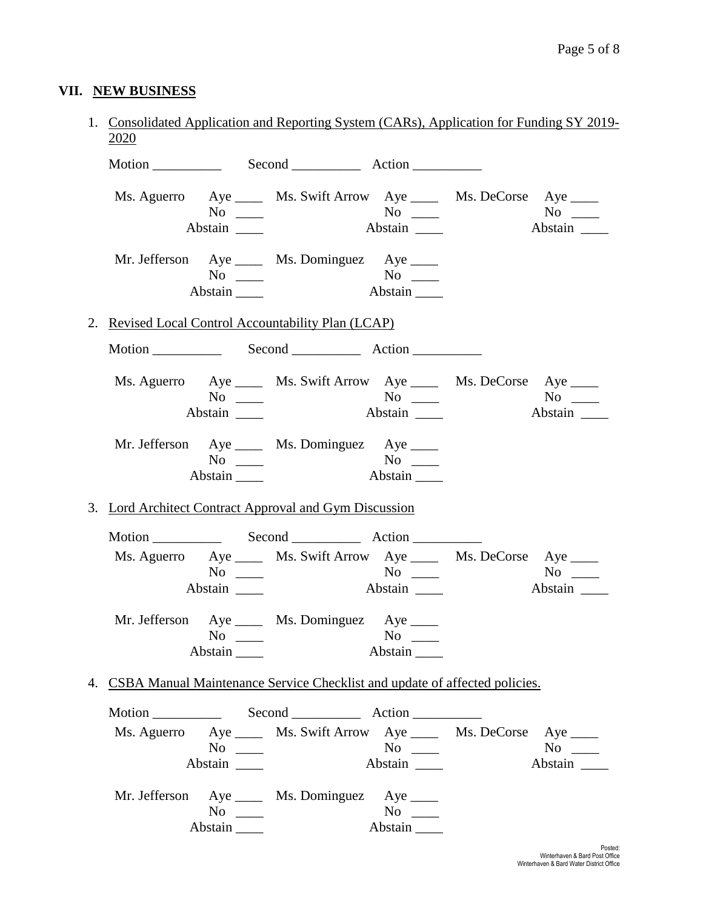# **VII. NEW BUSINESS**

| 2020          |                              | 1. Consolidated Application and Reporting System (CARs), Application for Funding SY 2019- |                      |                                               |
|---------------|------------------------------|-------------------------------------------------------------------------------------------|----------------------|-----------------------------------------------|
|               |                              |                                                                                           |                      |                                               |
|               | $No \ \_$<br>Abstain         | Ms. Aguerro Aye _____ Ms. Swift Arrow Aye _____ Ms. DeCorse Aye ____                      |                      | $No \ \_$<br>Abstain                          |
|               | $No \ \_$<br>Abstain         | Mr. Jefferson Aye _____ Ms. Dominguez Aye _____                                           |                      |                                               |
|               |                              | 2. Revised Local Control Accountability Plan (LCAP)                                       |                      |                                               |
|               |                              |                                                                                           |                      |                                               |
|               | $No \ \_$<br>Abstain _______ | Ms. Aguerro Aye _____ Ms. Swift Arrow Aye _____ Ms. DeCorse Aye ____                      | Abstain              | $No \ \_$<br>Abstain                          |
|               | $No \ \_$<br>Abstain         | Mr. Jefferson Aye _____ Ms. Dominguez Aye _____                                           |                      |                                               |
|               |                              | 3. Lord Architect Contract Approval and Gym Discussion                                    |                      |                                               |
|               |                              | Motion Second Action                                                                      |                      |                                               |
|               | $No \ \_$                    | Ms. Aguerro Aye _____ Ms. Swift Arrow Aye _____ Ms. DeCorse Aye ____                      |                      | $No \ \_$                                     |
|               | Abstain                      |                                                                                           |                      | Abstain                                       |
|               | $No \ \_$<br>Abstain         | Mr. Jefferson Aye _____ Ms. Dominguez Aye _____                                           | $No \ \_$<br>Abstain |                                               |
|               |                              | 4. CSBA Manual Maintenance Service Checklist and update of affected policies.             |                      |                                               |
|               |                              |                                                                                           |                      |                                               |
|               | $No \ \_$<br>Abstain         | Ms. Aguerro Aye _____ Ms. Swift Arrow Aye _____ Ms. DeCorse                               | $No \ \_$<br>Abstain | $Aye$ <sub>____</sub><br>$No \ \_$<br>Abstain |
| Mr. Jefferson | $No \ \_$<br>Abstain         | Aye ______ Ms. Dominguez Aye _____                                                        | $No \ \_$<br>Abstain |                                               |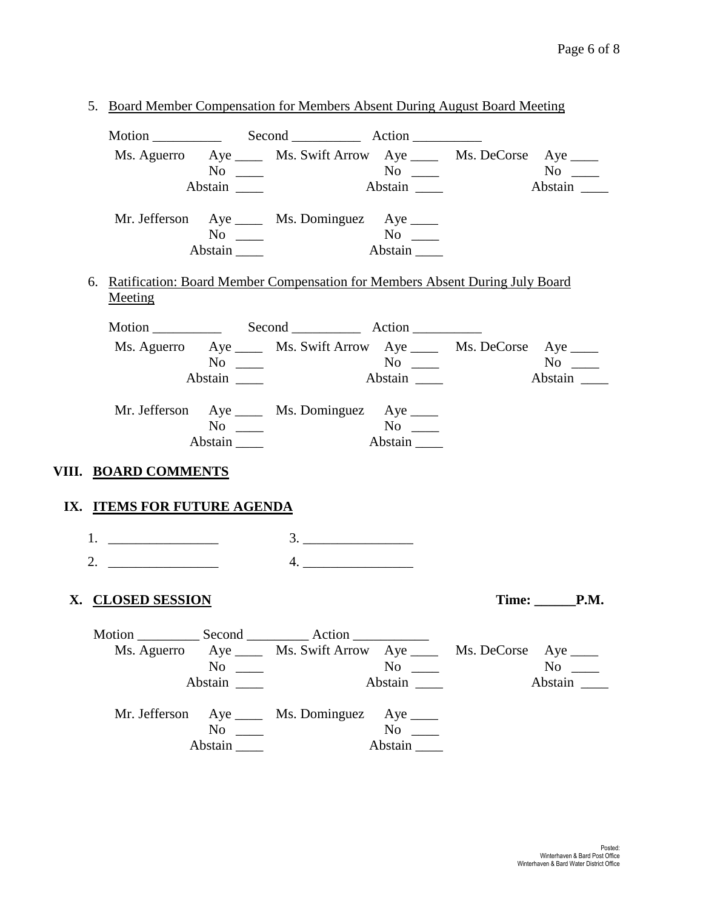|                             |                                           | 5. Board Member Compensation for Members Absent During August Board Meeting     |               |                   |
|-----------------------------|-------------------------------------------|---------------------------------------------------------------------------------|---------------|-------------------|
|                             |                                           |                                                                                 |               |                   |
|                             |                                           | Ms. Aguerro Aye _____ Ms. Swift Arrow Aye _____ Ms. DeCorse Aye ____            |               |                   |
|                             | $No \ \_$                                 |                                                                                 |               |                   |
|                             |                                           |                                                                                 | Abstain       | Abstain           |
|                             |                                           | Mr. Jefferson Aye _____ Ms. Dominguez Aye _____                                 |               |                   |
|                             | $No \ \_$                                 |                                                                                 | No<br>Abstain |                   |
|                             | Abstain                                   |                                                                                 |               |                   |
| Meeting                     |                                           | 6. Ratification: Board Member Compensation for Members Absent During July Board |               |                   |
|                             |                                           |                                                                                 |               |                   |
|                             |                                           | Ms. Aguerro Aye ______ Ms. Swift Arrow Aye ______ Ms. DeCorse Aye _____         |               |                   |
|                             | $No \ \_$                                 |                                                                                 |               |                   |
|                             | Abstain                                   |                                                                                 | Abstain       | Abstain           |
|                             |                                           | Mr. Jefferson Aye _____ Ms. Dominguez Aye _____                                 |               |                   |
|                             | $No \ \_$                                 |                                                                                 |               |                   |
|                             | Abstain $\_\_\_\$                         |                                                                                 | Abstain       |                   |
| VIII. BOARD COMMENTS        |                                           |                                                                                 |               |                   |
|                             |                                           |                                                                                 |               |                   |
| IX. ITEMS FOR FUTURE AGENDA |                                           |                                                                                 |               |                   |
| 1. $\qquad \qquad$          |                                           |                                                                                 |               |                   |
| 2.                          |                                           | 4.                                                                              |               |                   |
|                             |                                           |                                                                                 |               |                   |
| X. CLOSED SESSION           |                                           |                                                                                 |               | Time: <b>P.M.</b> |
|                             |                                           |                                                                                 |               |                   |
|                             |                                           | Ms. Aguerro Aye _____ Ms. Swift Arrow Aye _____ Ms. DeCorse Aye ____            |               |                   |
|                             | $\overline{N_0}$ $\overline{\phantom{0}}$ |                                                                                 | $No \ \_$     | $No \t —$         |
|                             |                                           |                                                                                 | Abstain       | Abstain           |
|                             |                                           | Mr. Jefferson Aye _____ Ms. Dominguez Aye ____                                  |               |                   |
|                             | $No \ \_$                                 |                                                                                 | $No \ \_$     |                   |
|                             |                                           |                                                                                 | Abstain       |                   |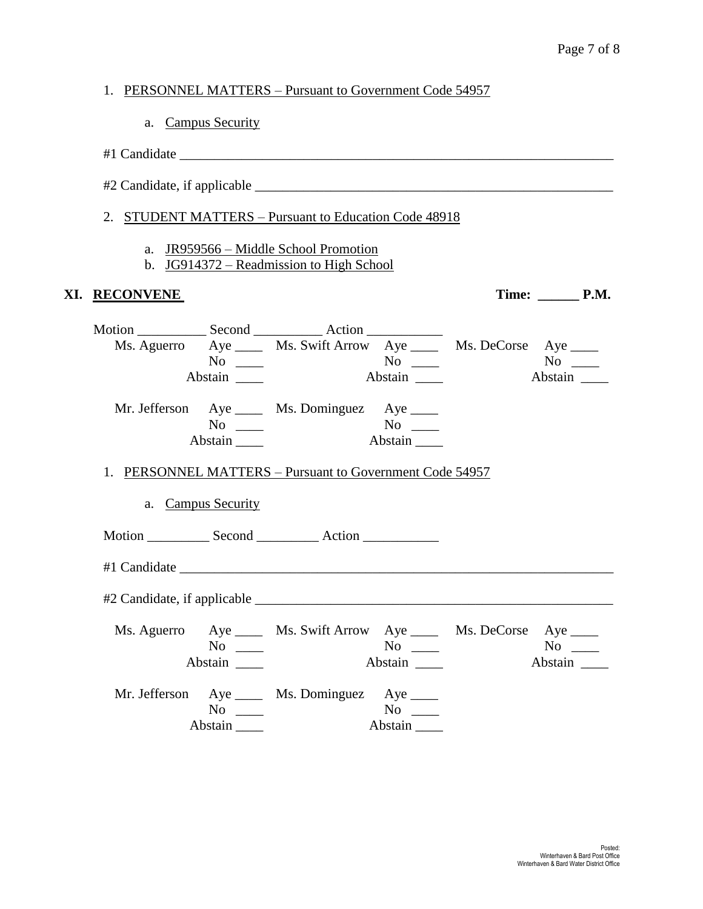|               |                      | 1. PERSONNEL MATTERS – Pursuant to Government Code 54957                          |               |                              |  |
|---------------|----------------------|-----------------------------------------------------------------------------------|---------------|------------------------------|--|
|               | a. Campus Security   |                                                                                   |               |                              |  |
|               |                      |                                                                                   |               |                              |  |
|               |                      |                                                                                   |               |                              |  |
|               |                      | 2. STUDENT MATTERS - Pursuant to Education Code 48918                             |               |                              |  |
|               |                      | a. JR959566 – Middle School Promotion<br>b. JG914372 – Readmission to High School |               |                              |  |
| XI. RECONVENE |                      |                                                                                   |               | Time: $\_\_\_\_\_\_\_\$ P.M. |  |
|               | $No \ \_$<br>Abstain | Ms. Aguerro Aye ______ Ms. Swift Arrow Aye ______ Ms. DeCorse Aye _____           | No<br>Abstain | $No \_$<br>Abstain           |  |
|               | $No \ \_$<br>Abstain | Mr. Jefferson Aye _____ Ms. Dominguez Aye _____                                   | Abstain       |                              |  |
|               |                      | 1. PERSONNEL MATTERS – Pursuant to Government Code 54957                          |               |                              |  |
|               | a. Campus Security   |                                                                                   |               |                              |  |
|               |                      | Motion Second Action                                                              |               |                              |  |
|               |                      |                                                                                   |               |                              |  |
|               |                      |                                                                                   |               |                              |  |
|               | $No \ \_$<br>Abstain | Ms. Aguerro Aye _____ Ms. Swift Arrow Aye _____ Ms. DeCorse Aye ____              | $No \_\_$     | $No \_\_$<br>Abstain         |  |
|               | $No \ \_$            | Mr. Jefferson Aye _____ Ms. Dominguez Aye ____                                    | $No \ \_$     |                              |  |
|               | Abstain              |                                                                                   | Abstain       |                              |  |